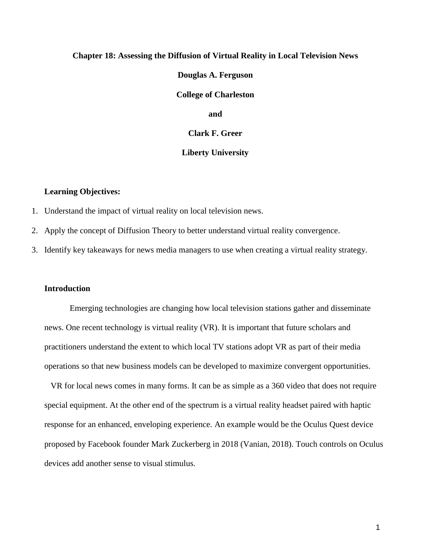### **Chapter 18: Assessing the Diffusion of Virtual Reality in Local Television News**

**Douglas A. Ferguson College of Charleston and Clark F. Greer Liberty University**

#### **Learning Objectives:**

1. Understand the impact of virtual reality on local television news.

- 2. Apply the concept of Diffusion Theory to better understand virtual reality convergence.
- 3. Identify key takeaways for news media managers to use when creating a virtual reality strategy.

### **Introduction**

Emerging technologies are changing how local television stations gather and disseminate news. One recent technology is virtual reality (VR). It is important that future scholars and practitioners understand the extent to which local TV stations adopt VR as part of their media operations so that new business models can be developed to maximize convergent opportunities.

VR for local news comes in many forms. It can be as simple as a 360 video that does not require special equipment. At the other end of the spectrum is a virtual reality headset paired with haptic response for an enhanced, enveloping experience. An example would be the Oculus Quest device proposed by Facebook founder Mark Zuckerberg in 2018 (Vanian, 2018). Touch controls on Oculus devices add another sense to visual stimulus.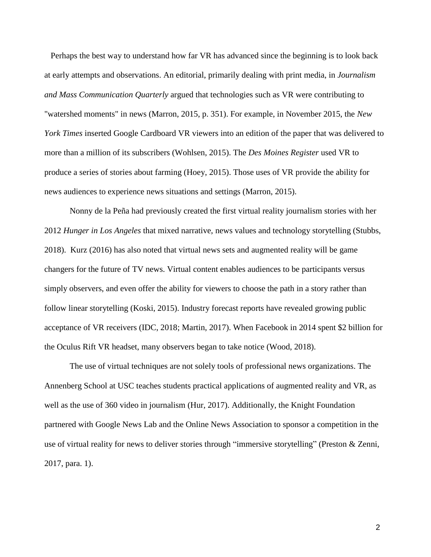Perhaps the best way to understand how far VR has advanced since the beginning is to look back at early attempts and observations. An editorial, primarily dealing with print media, in *Journalism and Mass Communication Quarterly* argued that technologies such as VR were contributing to "watershed moments" in news (Marron, 2015, p. 351). For example, in November 2015, the *New York Times* inserted Google Cardboard VR viewers into an edition of the paper that was delivered to more than a million of its subscribers (Wohlsen, 2015). The *Des Moines Register* used VR to produce a series of stories about farming (Hoey, 2015). Those uses of VR provide the ability for news audiences to experience news situations and settings (Marron, 2015).

Nonny de la Peña had previously created the first virtual reality journalism stories with her 2012 *Hunger in Los Angeles* that mixed narrative, news values and technology storytelling (Stubbs, 2018). Kurz (2016) has also noted that virtual news sets and augmented reality will be game changers for the future of TV news. Virtual content enables audiences to be participants versus simply observers, and even offer the ability for viewers to choose the path in a story rather than follow linear storytelling (Koski, 2015). Industry forecast reports have revealed growing public acceptance of VR receivers (IDC, 2018; Martin, 2017). When Facebook in 2014 spent \$2 billion for the Oculus Rift VR headset, many observers began to take notice (Wood, 2018).

The use of virtual techniques are not solely tools of professional news organizations. The Annenberg School at USC teaches students practical applications of augmented reality and VR, as well as the use of 360 video in journalism (Hur, 2017). Additionally, the Knight Foundation partnered with Google News Lab and the Online News Association to sponsor a competition in the use of virtual reality for news to deliver stories through "immersive storytelling" (Preston & Zenni, 2017, para. 1).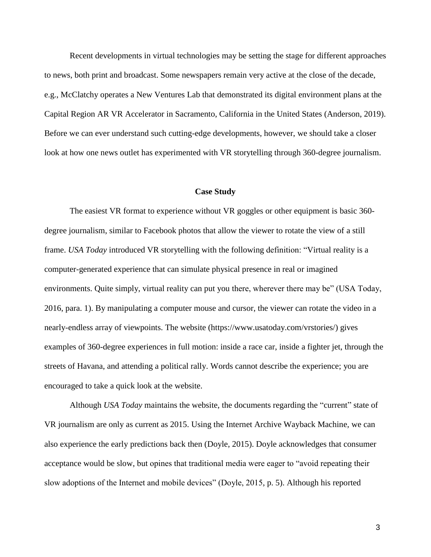Recent developments in virtual technologies may be setting the stage for different approaches to news, both print and broadcast. Some newspapers remain very active at the close of the decade, e.g., McClatchy operates a New Ventures Lab that demonstrated its digital environment plans at the Capital Region AR VR Accelerator in Sacramento, California in the United States (Anderson, 2019). Before we can ever understand such cutting-edge developments, however, we should take a closer look at how one news outlet has experimented with VR storytelling through 360-degree journalism.

#### **Case Study**

The easiest VR format to experience without VR goggles or other equipment is basic 360 degree journalism, similar to Facebook photos that allow the viewer to rotate the view of a still frame. *USA Today* introduced VR storytelling with the following definition: "Virtual reality is a computer-generated experience that can simulate physical presence in real or imagined environments. Quite simply, virtual reality can put you there, wherever there may be" (USA Today, 2016, para. 1). By manipulating a computer mouse and cursor, the viewer can rotate the video in a nearly-endless array of viewpoints. The website (https://www.usatoday.com/vrstories/) gives examples of 360-degree experiences in full motion: inside a race car, inside a fighter jet, through the streets of Havana, and attending a political rally. Words cannot describe the experience; you are encouraged to take a quick look at the website.

Although *USA Today* maintains the website, the documents regarding the "current" state of VR journalism are only as current as 2015. Using the Internet Archive Wayback Machine, we can also experience the early predictions back then (Doyle, 2015). Doyle acknowledges that consumer acceptance would be slow, but opines that traditional media were eager to "avoid repeating their slow adoptions of the Internet and mobile devices" (Doyle, 2015, p. 5). Although his reported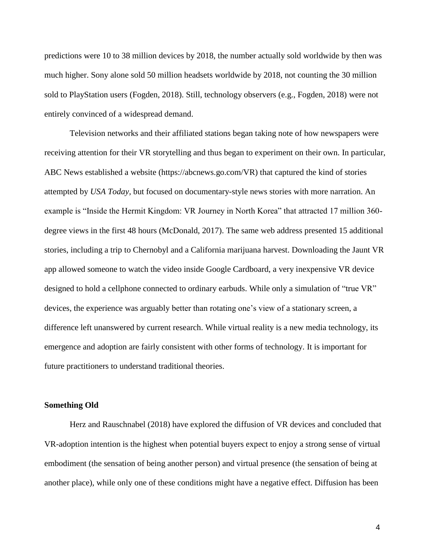predictions were 10 to 38 million devices by 2018, the number actually sold worldwide by then was much higher. Sony alone sold 50 million headsets worldwide by 2018, not counting the 30 million sold to PlayStation users (Fogden, 2018). Still, technology observers (e.g., Fogden, 2018) were not entirely convinced of a widespread demand.

Television networks and their affiliated stations began taking note of how newspapers were receiving attention for their VR storytelling and thus began to experiment on their own. In particular, ABC News established a website (https://abcnews.go.com/VR) that captured the kind of stories attempted by *USA Today,* but focused on documentary-style news stories with more narration. An example is "Inside the Hermit Kingdom: VR Journey in North Korea" that attracted 17 million 360 degree views in the first 48 hours (McDonald, 2017). The same web address presented 15 additional stories, including a trip to Chernobyl and a California marijuana harvest. Downloading the Jaunt VR app allowed someone to watch the video inside Google Cardboard, a very inexpensive VR device designed to hold a cellphone connected to ordinary earbuds. While only a simulation of "true VR" devices, the experience was arguably better than rotating one's view of a stationary screen, a difference left unanswered by current research. While virtual reality is a new media technology, its emergence and adoption are fairly consistent with other forms of technology. It is important for future practitioners to understand traditional theories.

### **Something Old**

Herz and Rauschnabel (2018) have explored the diffusion of VR devices and concluded that VR-adoption intention is the highest when potential buyers expect to enjoy a strong sense of virtual embodiment (the sensation of being another person) and virtual presence (the sensation of being at another place), while only one of these conditions might have a negative effect. Diffusion has been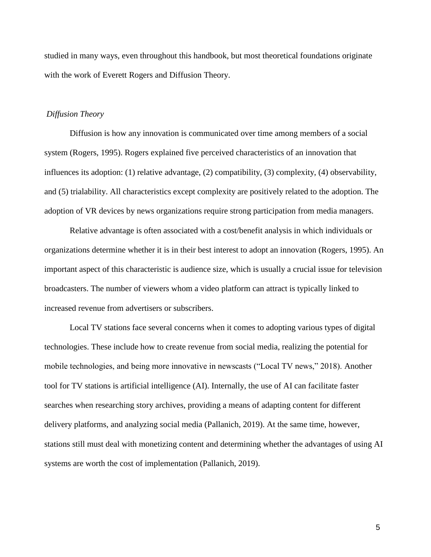studied in many ways, even throughout this handbook, but most theoretical foundations originate with the work of Everett Rogers and Diffusion Theory.

### *Diffusion Theory*

Diffusion is how any innovation is communicated over time among members of a social system (Rogers, 1995). Rogers explained five perceived characteristics of an innovation that influences its adoption: (1) relative advantage, (2) compatibility, (3) complexity, (4) observability, and (5) trialability. All characteristics except complexity are positively related to the adoption. The adoption of VR devices by news organizations require strong participation from media managers.

Relative advantage is often associated with a cost/benefit analysis in which individuals or organizations determine whether it is in their best interest to adopt an innovation (Rogers, 1995). An important aspect of this characteristic is audience size, which is usually a crucial issue for television broadcasters. The number of viewers whom a video platform can attract is typically linked to increased revenue from advertisers or subscribers.

Local TV stations face several concerns when it comes to adopting various types of digital technologies. These include how to create revenue from social media, realizing the potential for mobile technologies, and being more innovative in newscasts ("Local TV news," 2018). Another tool for TV stations is artificial intelligence (AI). Internally, the use of AI can facilitate faster searches when researching story archives, providing a means of adapting content for different delivery platforms, and analyzing social media (Pallanich, 2019). At the same time, however, stations still must deal with monetizing content and determining whether the advantages of using AI systems are worth the cost of implementation (Pallanich, 2019).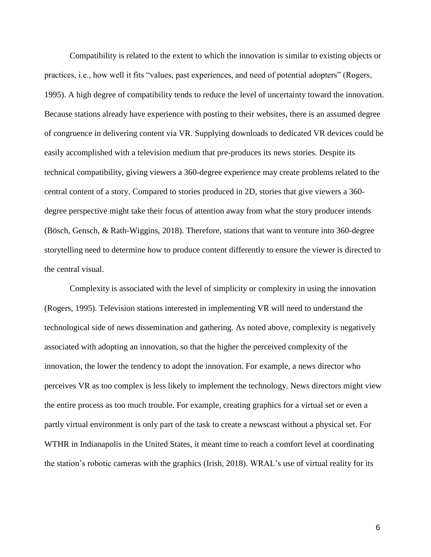Compatibility is related to the extent to which the innovation is similar to existing objects or practices, i.e., how well it fits "values, past experiences, and need of potential adopters" (Rogers, 1995). A high degree of compatibility tends to reduce the level of uncertainty toward the innovation. Because stations already have experience with posting to their websites, there is an assumed degree of congruence in delivering content via VR. Supplying downloads to dedicated VR devices could be easily accomplished with a television medium that pre-produces its news stories. Despite its technical compatibility, giving viewers a 360-degree experience may create problems related to the central content of a story. Compared to stories produced in 2D, stories that give viewers a 360 degree perspective might take their focus of attention away from what the story producer intends (Bösch, Gensch, & Rath-Wiggins, 2018). Therefore, stations that want to venture into 360-degree storytelling need to determine how to produce content differently to ensure the viewer is directed to the central visual.

Complexity is associated with the level of simplicity or complexity in using the innovation (Rogers, 1995). Television stations interested in implementing VR will need to understand the technological side of news dissemination and gathering. As noted above, complexity is negatively associated with adopting an innovation, so that the higher the perceived complexity of the innovation, the lower the tendency to adopt the innovation. For example, a news director who perceives VR as too complex is less likely to implement the technology. News directors might view the entire process as too much trouble. For example, creating graphics for a virtual set or even a partly virtual environment is only part of the task to create a newscast without a physical set. For WTHR in Indianapolis in the United States, it meant time to reach a comfort level at coordinating the station's robotic cameras with the graphics (Irish, 2018). WRAL's use of virtual reality for its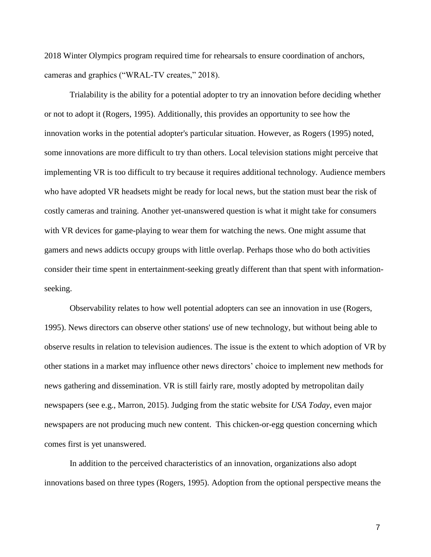2018 Winter Olympics program required time for rehearsals to ensure coordination of anchors, cameras and graphics ("WRAL-TV creates," 2018).

Trialability is the ability for a potential adopter to try an innovation before deciding whether or not to adopt it (Rogers, 1995). Additionally, this provides an opportunity to see how the innovation works in the potential adopter's particular situation. However, as Rogers (1995) noted, some innovations are more difficult to try than others. Local television stations might perceive that implementing VR is too difficult to try because it requires additional technology. Audience members who have adopted VR headsets might be ready for local news, but the station must bear the risk of costly cameras and training. Another yet-unanswered question is what it might take for consumers with VR devices for game-playing to wear them for watching the news. One might assume that gamers and news addicts occupy groups with little overlap. Perhaps those who do both activities consider their time spent in entertainment-seeking greatly different than that spent with informationseeking.

Observability relates to how well potential adopters can see an innovation in use (Rogers, 1995). News directors can observe other stations' use of new technology, but without being able to observe results in relation to television audiences. The issue is the extent to which adoption of VR by other stations in a market may influence other news directors' choice to implement new methods for news gathering and dissemination. VR is still fairly rare, mostly adopted by metropolitan daily newspapers (see e.g., Marron, 2015). Judging from the static website for *USA Today*, even major newspapers are not producing much new content. This chicken-or-egg question concerning which comes first is yet unanswered.

In addition to the perceived characteristics of an innovation, organizations also adopt innovations based on three types (Rogers, 1995). Adoption from the optional perspective means the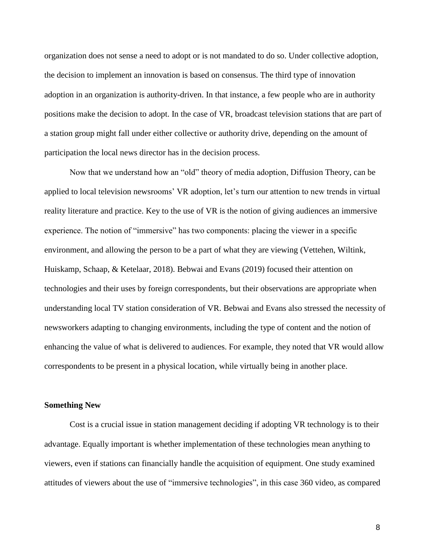organization does not sense a need to adopt or is not mandated to do so. Under collective adoption, the decision to implement an innovation is based on consensus. The third type of innovation adoption in an organization is authority-driven. In that instance, a few people who are in authority positions make the decision to adopt. In the case of VR, broadcast television stations that are part of a station group might fall under either collective or authority drive, depending on the amount of participation the local news director has in the decision process.

Now that we understand how an "old" theory of media adoption, Diffusion Theory, can be applied to local television newsrooms' VR adoption, let's turn our attention to new trends in virtual reality literature and practice. Key to the use of VR is the notion of giving audiences an immersive experience. The notion of "immersive" has two components: placing the viewer in a specific environment, and allowing the person to be a part of what they are viewing (Vettehen, Wiltink, Huiskamp, Schaap, & Ketelaar, 2018). Bebwai and Evans (2019) focused their attention on technologies and their uses by foreign correspondents, but their observations are appropriate when understanding local TV station consideration of VR. Bebwai and Evans also stressed the necessity of newsworkers adapting to changing environments, including the type of content and the notion of enhancing the value of what is delivered to audiences. For example, they noted that VR would allow correspondents to be present in a physical location, while virtually being in another place.

### **Something New**

Cost is a crucial issue in station management deciding if adopting VR technology is to their advantage. Equally important is whether implementation of these technologies mean anything to viewers, even if stations can financially handle the acquisition of equipment. One study examined attitudes of viewers about the use of "immersive technologies", in this case 360 video, as compared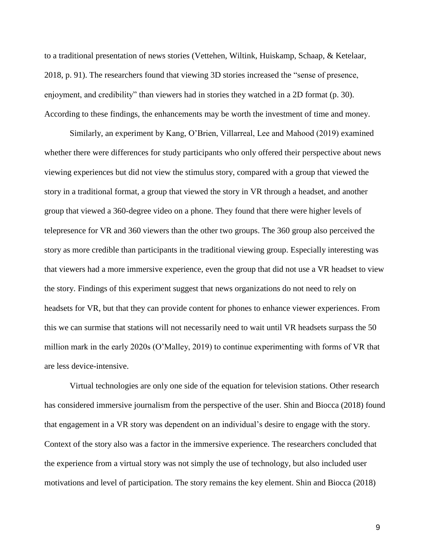to a traditional presentation of news stories (Vettehen, Wiltink, Huiskamp, Schaap, & Ketelaar, 2018, p. 91). The researchers found that viewing 3D stories increased the "sense of presence, enjoyment, and credibility" than viewers had in stories they watched in a 2D format (p. 30). According to these findings, the enhancements may be worth the investment of time and money.

Similarly, an experiment by Kang, O'Brien, Villarreal, Lee and Mahood (2019) examined whether there were differences for study participants who only offered their perspective about news viewing experiences but did not view the stimulus story, compared with a group that viewed the story in a traditional format, a group that viewed the story in VR through a headset, and another group that viewed a 360-degree video on a phone. They found that there were higher levels of telepresence for VR and 360 viewers than the other two groups. The 360 group also perceived the story as more credible than participants in the traditional viewing group. Especially interesting was that viewers had a more immersive experience, even the group that did not use a VR headset to view the story. Findings of this experiment suggest that news organizations do not need to rely on headsets for VR, but that they can provide content for phones to enhance viewer experiences. From this we can surmise that stations will not necessarily need to wait until VR headsets surpass the 50 million mark in the early 2020s (O'Malley, 2019) to continue experimenting with forms of VR that are less device-intensive.

Virtual technologies are only one side of the equation for television stations. Other research has considered immersive journalism from the perspective of the user. Shin and Biocca (2018) found that engagement in a VR story was dependent on an individual's desire to engage with the story. Context of the story also was a factor in the immersive experience. The researchers concluded that the experience from a virtual story was not simply the use of technology, but also included user motivations and level of participation. The story remains the key element. Shin and Biocca (2018)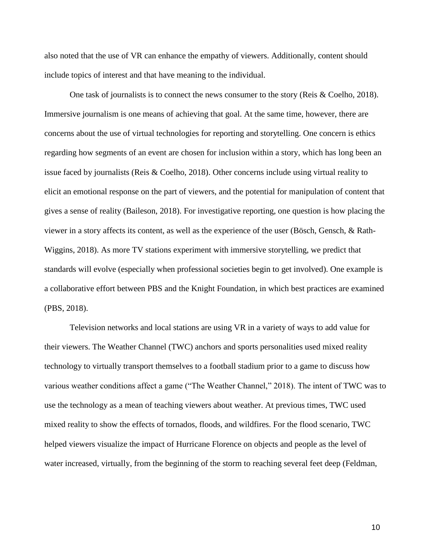also noted that the use of VR can enhance the empathy of viewers. Additionally, content should include topics of interest and that have meaning to the individual.

One task of journalists is to connect the news consumer to the story (Reis & Coelho, 2018). Immersive journalism is one means of achieving that goal. At the same time, however, there are concerns about the use of virtual technologies for reporting and storytelling. One concern is ethics regarding how segments of an event are chosen for inclusion within a story, which has long been an issue faced by journalists (Reis & Coelho, 2018). Other concerns include using virtual reality to elicit an emotional response on the part of viewers, and the potential for manipulation of content that gives a sense of reality (Baileson, 2018). For investigative reporting, one question is how placing the viewer in a story affects its content, as well as the experience of the user (Bösch, Gensch, & Rath-Wiggins, 2018). As more TV stations experiment with immersive storytelling, we predict that standards will evolve (especially when professional societies begin to get involved). One example is a collaborative effort between PBS and the Knight Foundation, in which best practices are examined (PBS, 2018).

Television networks and local stations are using VR in a variety of ways to add value for their viewers. The Weather Channel (TWC) anchors and sports personalities used mixed reality technology to virtually transport themselves to a football stadium prior to a game to discuss how various weather conditions affect a game ("The Weather Channel," 2018). The intent of TWC was to use the technology as a mean of teaching viewers about weather. At previous times, TWC used mixed reality to show the effects of tornados, floods, and wildfires. For the flood scenario, TWC helped viewers visualize the impact of Hurricane Florence on objects and people as the level of water increased, virtually, from the beginning of the storm to reaching several feet deep (Feldman,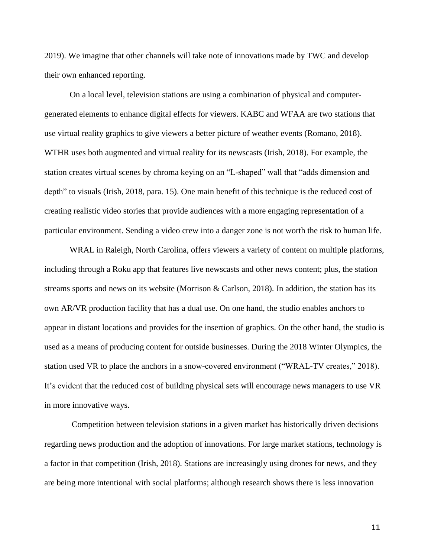2019). We imagine that other channels will take note of innovations made by TWC and develop their own enhanced reporting.

On a local level, television stations are using a combination of physical and computergenerated elements to enhance digital effects for viewers. KABC and WFAA are two stations that use virtual reality graphics to give viewers a better picture of weather events (Romano, 2018). WTHR uses both augmented and virtual reality for its newscasts (Irish, 2018). For example, the station creates virtual scenes by chroma keying on an "L-shaped" wall that "adds dimension and depth" to visuals (Irish, 2018, para. 15). One main benefit of this technique is the reduced cost of creating realistic video stories that provide audiences with a more engaging representation of a particular environment. Sending a video crew into a danger zone is not worth the risk to human life.

WRAL in Raleigh, North Carolina, offers viewers a variety of content on multiple platforms, including through a Roku app that features live newscasts and other news content; plus, the station streams sports and news on its website (Morrison  $\&$  Carlson, 2018). In addition, the station has its own AR/VR production facility that has a dual use. On one hand, the studio enables anchors to appear in distant locations and provides for the insertion of graphics. On the other hand, the studio is used as a means of producing content for outside businesses. During the 2018 Winter Olympics, the station used VR to place the anchors in a snow-covered environment ("WRAL-TV creates," 2018). It's evident that the reduced cost of building physical sets will encourage news managers to use VR in more innovative ways.

Competition between television stations in a given market has historically driven decisions regarding news production and the adoption of innovations. For large market stations, technology is a factor in that competition (Irish, 2018). Stations are increasingly using drones for news, and they are being more intentional with social platforms; although research shows there is less innovation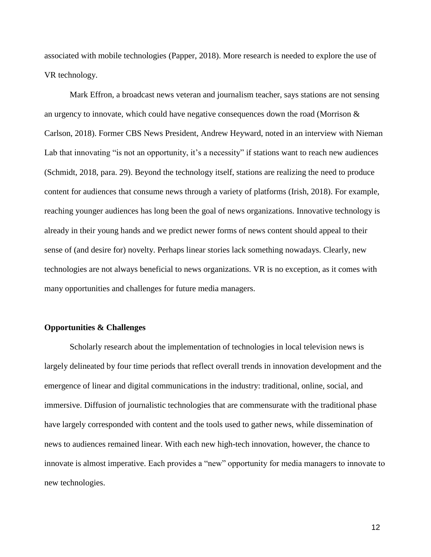associated with mobile technologies (Papper, 2018). More research is needed to explore the use of VR technology.

Mark Effron, a broadcast news veteran and journalism teacher, says stations are not sensing an urgency to innovate, which could have negative consequences down the road (Morrison  $\&$ Carlson, 2018). Former CBS News President, Andrew Heyward, noted in an interview with Nieman Lab that innovating "is not an opportunity, it's a necessity" if stations want to reach new audiences (Schmidt, 2018, para. 29). Beyond the technology itself, stations are realizing the need to produce content for audiences that consume news through a variety of platforms (Irish, 2018). For example, reaching younger audiences has long been the goal of news organizations. Innovative technology is already in their young hands and we predict newer forms of news content should appeal to their sense of (and desire for) novelty. Perhaps linear stories lack something nowadays. Clearly, new technologies are not always beneficial to news organizations. VR is no exception, as it comes with many opportunities and challenges for future media managers.

## **Opportunities & Challenges**

Scholarly research about the implementation of technologies in local television news is largely delineated by four time periods that reflect overall trends in innovation development and the emergence of linear and digital communications in the industry: traditional, online, social, and immersive. Diffusion of journalistic technologies that are commensurate with the traditional phase have largely corresponded with content and the tools used to gather news, while dissemination of news to audiences remained linear. With each new high-tech innovation, however, the chance to innovate is almost imperative. Each provides a "new" opportunity for media managers to innovate to new technologies.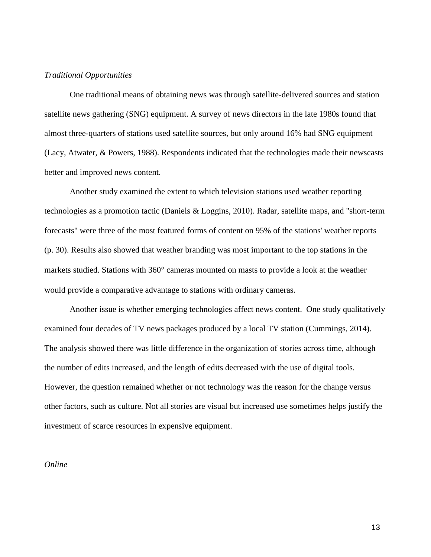# *Traditional Opportunities*

One traditional means of obtaining news was through satellite-delivered sources and station satellite news gathering (SNG) equipment. A survey of news directors in the late 1980s found that almost three-quarters of stations used satellite sources, but only around 16% had SNG equipment (Lacy, Atwater, & Powers, 1988). Respondents indicated that the technologies made their newscasts better and improved news content.

Another study examined the extent to which television stations used weather reporting technologies as a promotion tactic (Daniels & Loggins, 2010). Radar, satellite maps, and "short-term forecasts" were three of the most featured forms of content on 95% of the stations' weather reports (p. 30). Results also showed that weather branding was most important to the top stations in the markets studied. Stations with  $360^{\circ}$  cameras mounted on masts to provide a look at the weather would provide a comparative advantage to stations with ordinary cameras.

Another issue is whether emerging technologies affect news content. One study qualitatively examined four decades of TV news packages produced by a local TV station (Cummings, 2014). The analysis showed there was little difference in the organization of stories across time, although the number of edits increased, and the length of edits decreased with the use of digital tools. However, the question remained whether or not technology was the reason for the change versus other factors, such as culture. Not all stories are visual but increased use sometimes helps justify the investment of scarce resources in expensive equipment.

*Online*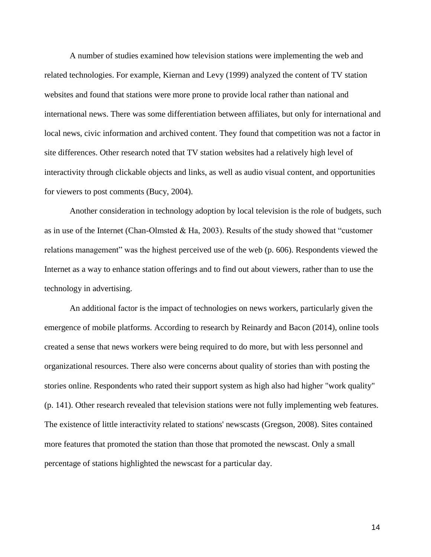A number of studies examined how television stations were implementing the web and related technologies. For example, Kiernan and Levy (1999) analyzed the content of TV station websites and found that stations were more prone to provide local rather than national and international news. There was some differentiation between affiliates, but only for international and local news, civic information and archived content. They found that competition was not a factor in site differences. Other research noted that TV station websites had a relatively high level of interactivity through clickable objects and links, as well as audio visual content, and opportunities for viewers to post comments (Bucy, 2004).

Another consideration in technology adoption by local television is the role of budgets, such as in use of the Internet (Chan-Olmsted & Ha, 2003). Results of the study showed that "customer relations management" was the highest perceived use of the web (p. 606). Respondents viewed the Internet as a way to enhance station offerings and to find out about viewers, rather than to use the technology in advertising.

An additional factor is the impact of technologies on news workers, particularly given the emergence of mobile platforms. According to research by Reinardy and Bacon (2014), online tools created a sense that news workers were being required to do more, but with less personnel and organizational resources. There also were concerns about quality of stories than with posting the stories online. Respondents who rated their support system as high also had higher "work quality" (p. 141). Other research revealed that television stations were not fully implementing web features. The existence of little interactivity related to stations' newscasts (Gregson, 2008). Sites contained more features that promoted the station than those that promoted the newscast. Only a small percentage of stations highlighted the newscast for a particular day.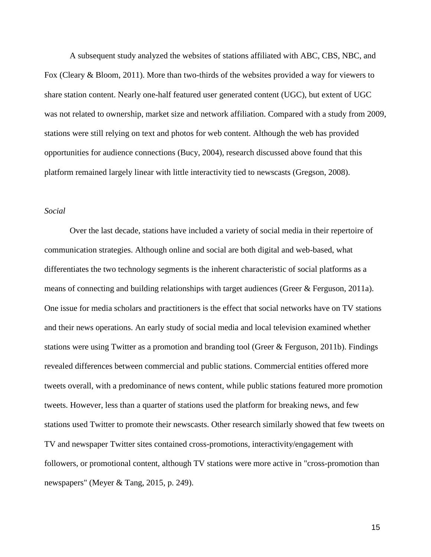A subsequent study analyzed the websites of stations affiliated with ABC, CBS, NBC, and Fox (Cleary & Bloom, 2011). More than two-thirds of the websites provided a way for viewers to share station content. Nearly one-half featured user generated content (UGC), but extent of UGC was not related to ownership, market size and network affiliation. Compared with a study from 2009, stations were still relying on text and photos for web content. Although the web has provided opportunities for audience connections (Bucy, 2004), research discussed above found that this platform remained largely linear with little interactivity tied to newscasts (Gregson, 2008).

### *Social*

Over the last decade, stations have included a variety of social media in their repertoire of communication strategies. Although online and social are both digital and web-based, what differentiates the two technology segments is the inherent characteristic of social platforms as a means of connecting and building relationships with target audiences (Greer & Ferguson, 2011a). One issue for media scholars and practitioners is the effect that social networks have on TV stations and their news operations. An early study of social media and local television examined whether stations were using Twitter as a promotion and branding tool (Greer & Ferguson, 2011b). Findings revealed differences between commercial and public stations. Commercial entities offered more tweets overall, with a predominance of news content, while public stations featured more promotion tweets. However, less than a quarter of stations used the platform for breaking news, and few stations used Twitter to promote their newscasts. Other research similarly showed that few tweets on TV and newspaper Twitter sites contained cross-promotions, interactivity/engagement with followers, or promotional content, although TV stations were more active in "cross-promotion than newspapers" (Meyer & Tang, 2015, p. 249).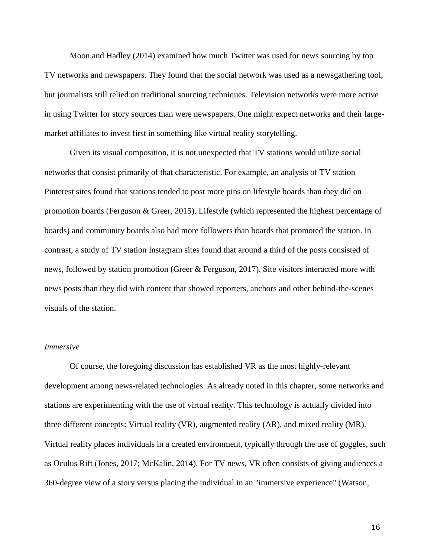Moon and Hadley (2014) examined how much Twitter was used for news sourcing by top TV networks and newspapers. They found that the social network was used as a newsgathering tool, but journalists still relied on traditional sourcing techniques. Television networks were more active in using Twitter for story sources than were newspapers. One might expect networks and their largemarket affiliates to invest first in something like virtual reality storytelling.

Given its visual composition, it is not unexpected that TV stations would utilize social networks that consist primarily of that characteristic. For example, an analysis of TV station Pinterest sites found that stations tended to post more pins on lifestyle boards than they did on promotion boards (Ferguson & Greer, 2015). Lifestyle (which represented the highest percentage of boards) and community boards also had more followers than boards that promoted the station. In contrast, a study of TV station Instagram sites found that around a third of the posts consisted of news, followed by station promotion (Greer & Ferguson, 2017). Site visitors interacted more with news posts than they did with content that showed reporters, anchors and other behind-the-scenes visuals of the station.

# *Immersive*

Of course, the foregoing discussion has established VR as the most highly-relevant development among news-related technologies. As already noted in this chapter, some networks and stations are experimenting with the use of virtual reality. This technology is actually divided into three different concepts: Virtual reality (VR), augmented reality (AR), and mixed reality (MR). Virtual reality places individuals in a created environment, typically through the use of goggles, such as Oculus Rift (Jones, 2017; McKalin, 2014). For TV news, VR often consists of giving audiences a 360-degree view of a story versus placing the individual in an "immersive experience" (Watson,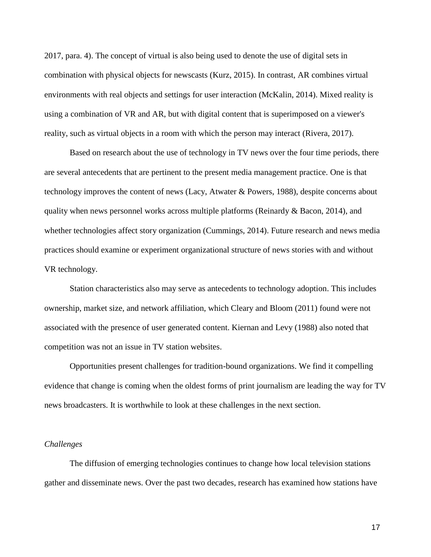2017, para. 4). The concept of virtual is also being used to denote the use of digital sets in combination with physical objects for newscasts (Kurz, 2015). In contrast, AR combines virtual environments with real objects and settings for user interaction (McKalin, 2014). Mixed reality is using a combination of VR and AR, but with digital content that is superimposed on a viewer's reality, such as virtual objects in a room with which the person may interact (Rivera, 2017).

Based on research about the use of technology in TV news over the four time periods, there are several antecedents that are pertinent to the present media management practice. One is that technology improves the content of news (Lacy, Atwater & Powers, 1988), despite concerns about quality when news personnel works across multiple platforms (Reinardy & Bacon, 2014), and whether technologies affect story organization (Cummings, 2014). Future research and news media practices should examine or experiment organizational structure of news stories with and without VR technology.

Station characteristics also may serve as antecedents to technology adoption. This includes ownership, market size, and network affiliation, which Cleary and Bloom (2011) found were not associated with the presence of user generated content. Kiernan and Levy (1988) also noted that competition was not an issue in TV station websites.

Opportunities present challenges for tradition-bound organizations. We find it compelling evidence that change is coming when the oldest forms of print journalism are leading the way for TV news broadcasters. It is worthwhile to look at these challenges in the next section.

#### *Challenges*

The diffusion of emerging technologies continues to change how local television stations gather and disseminate news. Over the past two decades, research has examined how stations have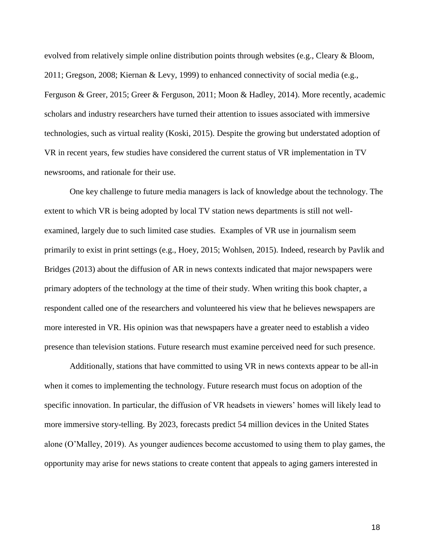evolved from relatively simple online distribution points through websites (e.g., Cleary & Bloom, 2011; Gregson, 2008; Kiernan & Levy, 1999) to enhanced connectivity of social media (e.g., Ferguson & Greer, 2015; Greer & Ferguson, 2011; Moon & Hadley, 2014). More recently, academic scholars and industry researchers have turned their attention to issues associated with immersive technologies, such as virtual reality (Koski, 2015). Despite the growing but understated adoption of VR in recent years, few studies have considered the current status of VR implementation in TV newsrooms, and rationale for their use.

One key challenge to future media managers is lack of knowledge about the technology. The extent to which VR is being adopted by local TV station news departments is still not wellexamined, largely due to such limited case studies. Examples of VR use in journalism seem primarily to exist in print settings (e.g., Hoey, 2015; Wohlsen, 2015). Indeed, research by Pavlik and Bridges (2013) about the diffusion of AR in news contexts indicated that major newspapers were primary adopters of the technology at the time of their study. When writing this book chapter, a respondent called one of the researchers and volunteered his view that he believes newspapers are more interested in VR. His opinion was that newspapers have a greater need to establish a video presence than television stations. Future research must examine perceived need for such presence.

Additionally, stations that have committed to using VR in news contexts appear to be all-in when it comes to implementing the technology. Future research must focus on adoption of the specific innovation. In particular, the diffusion of VR headsets in viewers' homes will likely lead to more immersive story-telling. By 2023, forecasts predict 54 million devices in the United States alone (O'Malley, 2019). As younger audiences become accustomed to using them to play games, the opportunity may arise for news stations to create content that appeals to aging gamers interested in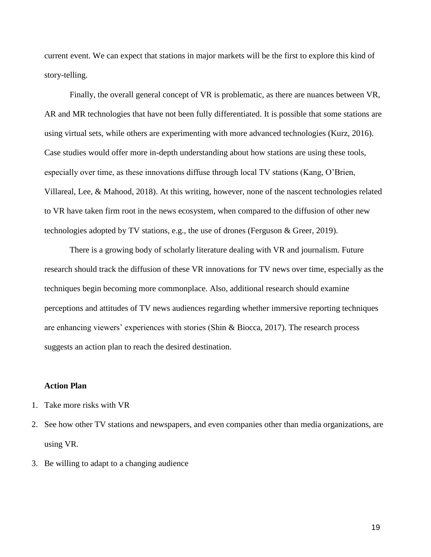current event. We can expect that stations in major markets will be the first to explore this kind of story-telling.

Finally, the overall general concept of VR is problematic, as there are nuances between VR, AR and MR technologies that have not been fully differentiated. It is possible that some stations are using virtual sets, while others are experimenting with more advanced technologies (Kurz, 2016). Case studies would offer more in-depth understanding about how stations are using these tools, especially over time, as these innovations diffuse through local TV stations (Kang, O'Brien, Villareal, Lee, & Mahood, 2018). At this writing, however, none of the nascent technologies related to VR have taken firm root in the news ecosystem, when compared to the diffusion of other new technologies adopted by TV stations, e.g., the use of drones (Ferguson & Greer, 2019).

There is a growing body of scholarly literature dealing with VR and journalism. Future research should track the diffusion of these VR innovations for TV news over time, especially as the techniques begin becoming more commonplace. Also, additional research should examine perceptions and attitudes of TV news audiences regarding whether immersive reporting techniques are enhancing viewers' experiences with stories (Shin & Biocca, 2017). The research process suggests an action plan to reach the desired destination.

# **Action Plan**

- 1. Take more risks with VR
- 2. See how other TV stations and newspapers, and even companies other than media organizations, are using VR.
- 3. Be willing to adapt to a changing audience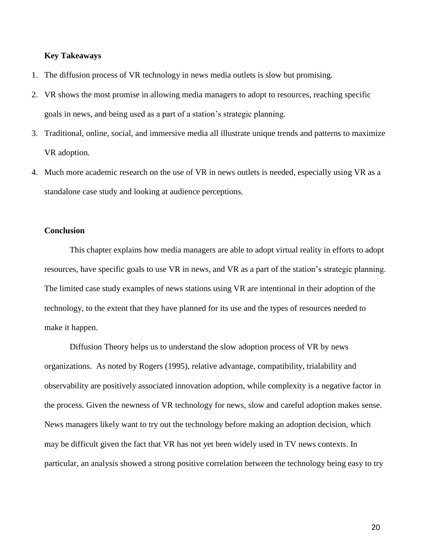# **Key Takeaways**

- 1. The diffusion process of VR technology in news media outlets is slow but promising.
- 2. VR shows the most promise in allowing media managers to adopt to resources, reaching specific goals in news, and being used as a part of a station's strategic planning.
- 3. Traditional, online, social, and immersive media all illustrate unique trends and patterns to maximize VR adoption.
- 4. Much more academic research on the use of VR in news outlets is needed, especially using VR as a standalone case study and looking at audience perceptions.

# **Conclusion**

This chapter explains how media managers are able to adopt virtual reality in efforts to adopt resources, have specific goals to use VR in news, and VR as a part of the station's strategic planning. The limited case study examples of news stations using VR are intentional in their adoption of the technology, to the extent that they have planned for its use and the types of resources needed to make it happen.

Diffusion Theory helps us to understand the slow adoption process of VR by news organizations. As noted by Rogers (1995), relative advantage, compatibility, trialability and observability are positively associated innovation adoption, while complexity is a negative factor in the process. Given the newness of VR technology for news, slow and careful adoption makes sense. News managers likely want to try out the technology before making an adoption decision, which may be difficult given the fact that VR has not yet been widely used in TV news contexts. In particular, an analysis showed a strong positive correlation between the technology being easy to try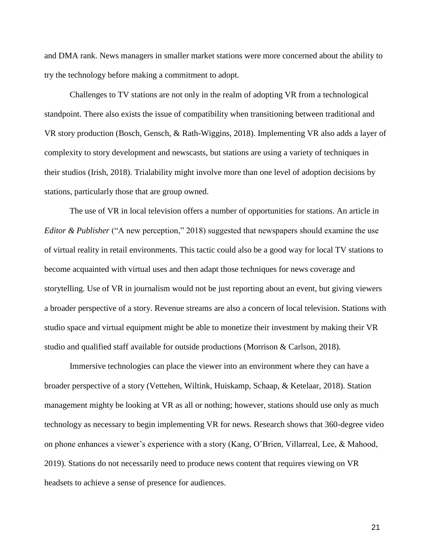and DMA rank. News managers in smaller market stations were more concerned about the ability to try the technology before making a commitment to adopt.

Challenges to TV stations are not only in the realm of adopting VR from a technological standpoint. There also exists the issue of compatibility when transitioning between traditional and VR story production (Bosch, Gensch, & Rath-Wiggins, 2018). Implementing VR also adds a layer of complexity to story development and newscasts, but stations are using a variety of techniques in their studios (Irish, 2018). Trialability might involve more than one level of adoption decisions by stations, particularly those that are group owned.

The use of VR in local television offers a number of opportunities for stations. An article in *Editor & Publisher* ("A new perception," 2018) suggested that newspapers should examine the use of virtual reality in retail environments. This tactic could also be a good way for local TV stations to become acquainted with virtual uses and then adapt those techniques for news coverage and storytelling. Use of VR in journalism would not be just reporting about an event, but giving viewers a broader perspective of a story. Revenue streams are also a concern of local television. Stations with studio space and virtual equipment might be able to monetize their investment by making their VR studio and qualified staff available for outside productions (Morrison & Carlson, 2018).

Immersive technologies can place the viewer into an environment where they can have a broader perspective of a story (Vettehen, Wiltink, Huiskamp, Schaap, & Ketelaar, 2018). Station management mighty be looking at VR as all or nothing; however, stations should use only as much technology as necessary to begin implementing VR for news. Research shows that 360-degree video on phone enhances a viewer's experience with a story (Kang, O'Brien, Villarreal, Lee, & Mahood, 2019). Stations do not necessarily need to produce news content that requires viewing on VR headsets to achieve a sense of presence for audiences.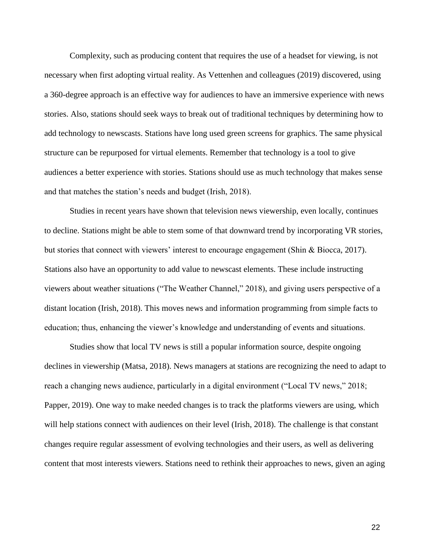Complexity, such as producing content that requires the use of a headset for viewing, is not necessary when first adopting virtual reality. As Vettenhen and colleagues (2019) discovered, using a 360-degree approach is an effective way for audiences to have an immersive experience with news stories. Also, stations should seek ways to break out of traditional techniques by determining how to add technology to newscasts. Stations have long used green screens for graphics. The same physical structure can be repurposed for virtual elements. Remember that technology is a tool to give audiences a better experience with stories. Stations should use as much technology that makes sense and that matches the station's needs and budget (Irish, 2018).

Studies in recent years have shown that television news viewership, even locally, continues to decline. Stations might be able to stem some of that downward trend by incorporating VR stories, but stories that connect with viewers' interest to encourage engagement (Shin & Biocca, 2017). Stations also have an opportunity to add value to newscast elements. These include instructing viewers about weather situations ("The Weather Channel," 2018), and giving users perspective of a distant location (Irish, 2018). This moves news and information programming from simple facts to education; thus, enhancing the viewer's knowledge and understanding of events and situations.

Studies show that local TV news is still a popular information source, despite ongoing declines in viewership (Matsa, 2018). News managers at stations are recognizing the need to adapt to reach a changing news audience, particularly in a digital environment ("Local TV news," 2018; Papper, 2019). One way to make needed changes is to track the platforms viewers are using, which will help stations connect with audiences on their level (Irish, 2018). The challenge is that constant changes require regular assessment of evolving technologies and their users, as well as delivering content that most interests viewers. Stations need to rethink their approaches to news, given an aging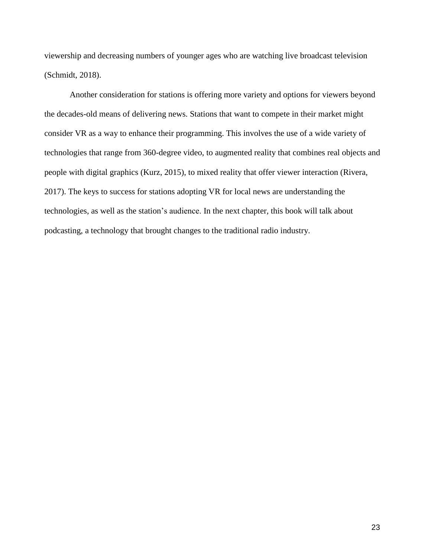viewership and decreasing numbers of younger ages who are watching live broadcast television (Schmidt, 2018).

Another consideration for stations is offering more variety and options for viewers beyond the decades-old means of delivering news. Stations that want to compete in their market might consider VR as a way to enhance their programming. This involves the use of a wide variety of technologies that range from 360-degree video, to augmented reality that combines real objects and people with digital graphics (Kurz, 2015), to mixed reality that offer viewer interaction (Rivera, 2017). The keys to success for stations adopting VR for local news are understanding the technologies, as well as the station's audience. In the next chapter, this book will talk about podcasting, a technology that brought changes to the traditional radio industry.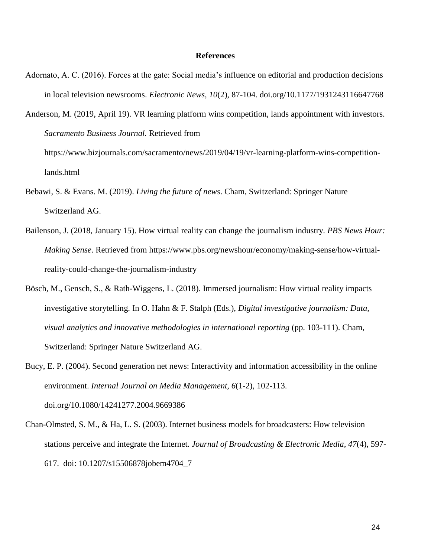#### **References**

Adornato, A. C. (2016). Forces at the gate: Social media's influence on editorial and production decisions in local television newsrooms. *Electronic News, 10*(2), 87-104. doi.org/10.1177/1931243116647768

Anderson, M. (2019, April 19). VR learning platform wins competition, lands appointment with investors. *Sacramento Business Journal.* Retrieved from https://www.bizjournals.com/sacramento/news/2019/04/19/vr-learning-platform-wins-competitionlands.html

- Bebawi, S. & Evans. M. (2019). *Living the future of news*. Cham, Switzerland: Springer Nature Switzerland AG.
- Bailenson, J. (2018, January 15). How virtual reality can change the journalism industry. *PBS News Hour: Making Sense*. Retrieved from https://www.pbs.org/newshour/economy/making-sense/how-virtualreality-could-change-the-journalism-industry
- Bösch, M., Gensch, S., & Rath-Wiggens, L. (2018). Immersed journalism: How virtual reality impacts investigative storytelling. In O. Hahn & F. Stalph (Eds.), *Digital investigative journalism: Data, visual analytics and innovative methodologies in international reporting* (pp. 103-111). Cham, Switzerland: Springer Nature Switzerland AG.
- Bucy, E. P. (2004). Second generation net news: Interactivity and information accessibility in the online environment. *Internal Journal on Media Management, 6*(1-2), 102-113. doi.org/10.1080/14241277.2004.9669386
- Chan-Olmsted, S. M., & Ha, L. S. (2003). Internet business models for broadcasters: How television stations perceive and integrate the Internet. *Journal of Broadcasting & Electronic Media, 47*(4), 597- 617. doi: 10.1207/s15506878jobem4704\_7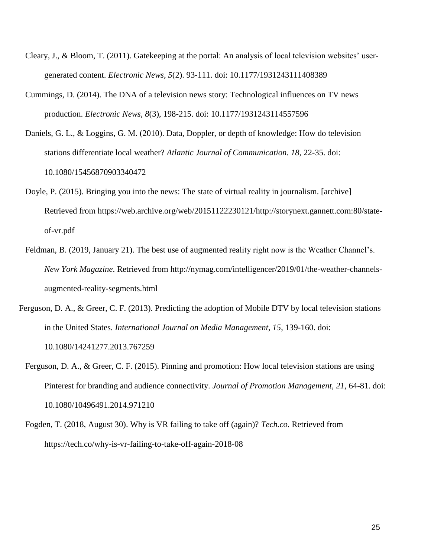- Cleary, J., & Bloom, T. (2011). Gatekeeping at the portal: An analysis of local television websites' usergenerated content. *Electronic News, 5*(2). 93-111. doi: 10.1177/1931243111408389
- Cummings, D. (2014). The DNA of a television news story: Technological influences on TV news production. *Electronic News, 8*(3), 198-215. doi: 10.1177/1931243114557596
- Daniels, G. L., & Loggins, G. M. (2010). Data, Doppler, or depth of knowledge: How do television stations differentiate local weather? *Atlantic Journal of Communication. 18*, 22-35. doi: 10.1080/15456870903340472
- Doyle, P. (2015). Bringing you into the news: The state of virtual reality in journalism. [archive] Retrieved from https://web.archive.org/web/20151122230121/http://storynext.gannett.com:80/stateof-vr.pdf
- Feldman, B. (2019, January 21). The best use of augmented reality right now is the Weather Channel's. *New York Magazine*. Retrieved from http://nymag.com/intelligencer/2019/01/the-weather-channelsaugmented-reality-segments.html
- Ferguson, D. A., & Greer, C. F. (2013). Predicting the adoption of Mobile DTV by local television stations in the United States. *International Journal on Media Management, 15*, 139-160. doi: 10.1080/14241277.2013.767259
	- Ferguson, D. A., & Greer, C. F. (2015). Pinning and promotion: How local television stations are using Pinterest for branding and audience connectivity. *Journal of Promotion Management, 21*, 64-81. doi: 10.1080/10496491.2014.971210
	- Fogden, T. (2018, August 30). Why is VR failing to take off (again)? *Tech.co*. Retrieved from https://tech.co/why-is-vr-failing-to-take-off-again-2018-08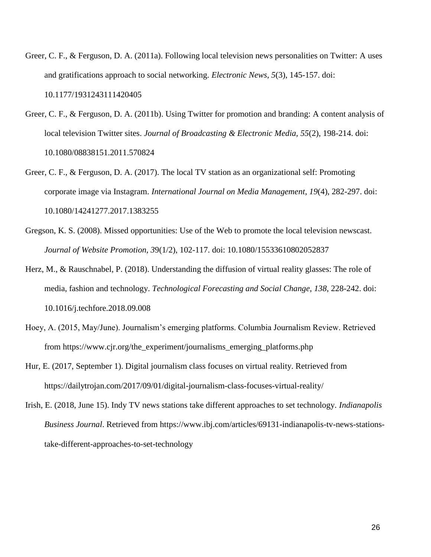- Greer, C. F., & Ferguson, D. A. (2011a). Following local television news personalities on Twitter: A uses and gratifications approach to social networking. *Electronic News, 5*(3), 145-157. doi: 10.1177/1931243111420405
- Greer, C. F., & Ferguson, D. A. (2011b). Using Twitter for promotion and branding: A content analysis of local television Twitter sites. *Journal of Broadcasting & Electronic Media, 55*(2), 198-214. doi: 10.1080/08838151.2011.570824
- Greer, C. F., & Ferguson, D. A. (2017). The local TV station as an organizational self: Promoting corporate image via Instagram. *International Journal on Media Management*, *19*(4), 282-297. doi: 10.1080/14241277.2017.1383255
- Gregson, K. S. (2008). Missed opportunities: Use of the Web to promote the local television newscast. *Journal of Website Promotion, 3*9(1/2), 102-117. doi: 10.1080/15533610802052837
- Herz, M., & Rauschnabel, P. (2018). Understanding the diffusion of virtual reality glasses: The role of media, fashion and technology. *Technological Forecasting and Social Change*, *138*, 228-242. doi: 10.1016/j.techfore.2018.09.008
- Hoey, A. (2015, May/June). Journalism's emerging platforms. Columbia Journalism Review. Retrieved from https://www.cjr.org/the\_experiment/journalisms\_emerging\_platforms.php
- Hur, E. (2017, September 1). Digital journalism class focuses on virtual reality. Retrieved from https://dailytrojan.com/2017/09/01/digital-journalism-class-focuses-virtual-reality/
- Irish, E. (2018, June 15). Indy TV news stations take different approaches to set technology. *Indianapolis Business Journal*. Retrieved from https://www.ibj.com/articles/69131-indianapolis-tv-news-stationstake-different-approaches-to-set-technology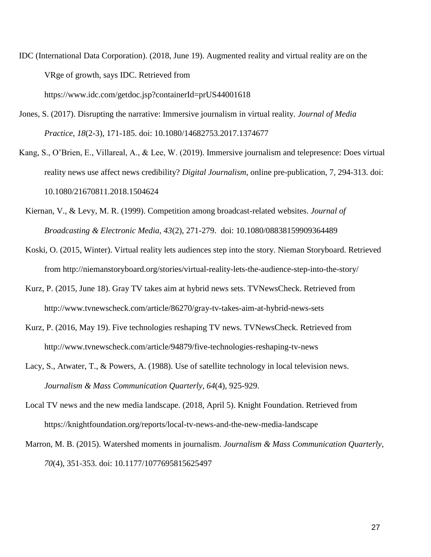- IDC (International Data Corporation). (2018, June 19). Augmented reality and virtual reality are on the VRge of growth, says IDC. Retrieved from https://www.idc.com/getdoc.jsp?containerId=prUS44001618
- Jones, S. (2017). Disrupting the narrative: Immersive journalism in virtual reality. *Journal of Media Practice*, *18*(2-3), 171-185. doi: 10.1080/14682753.2017.1374677
- Kang, S., O'Brien, E., Villareal, A., & Lee, W. (2019). Immersive journalism and telepresence: Does virtual reality news use affect news credibility? *Digital Journalism*, online pre-publication, 7, 294-313. doi: 10.1080/21670811.2018.1504624
	- Kiernan, V., & Levy, M. R. (1999). Competition among broadcast-related websites. *Journal of Broadcasting & Electronic Media, 43*(2), 271-279. doi: 10.1080/08838159909364489
	- Koski, O. (2015, Winter). Virtual reality lets audiences step into the story. Nieman Storyboard. Retrieved from http://niemanstoryboard.org/stories/virtual-reality-lets-the-audience-step-into-the-story/
	- Kurz, P. (2015, June 18). Gray TV takes aim at hybrid news sets. TVNewsCheck. Retrieved from http://www.tvnewscheck.com/article/86270/gray-tv-takes-aim-at-hybrid-news-sets
	- Kurz, P. (2016, May 19). Five technologies reshaping TV news. TVNewsCheck. Retrieved from http://www.tvnewscheck.com/article/94879/five-technologies-reshaping-tv-news
	- Lacy, S., Atwater, T., & Powers, A. (1988). Use of satellite technology in local television news. *Journalism & Mass Communication Quarterly, 64*(4), 925-929.
	- Local TV news and the new media landscape. (2018, April 5). Knight Foundation. Retrieved from https://knightfoundation.org/reports/local-tv-news-and-the-new-media-landscape
	- Marron, M. B. (2015). Watershed moments in journalism. *Journalism & Mass Communication Quarterly, 70*(4), 351-353. doi: 10.1177/1077695815625497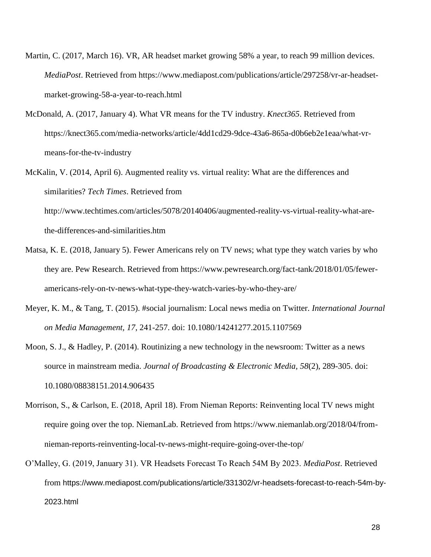Martin, C. (2017, March 16). VR, AR headset market growing 58% a year, to reach 99 million devices. *MediaPost*. Retrieved from https://www.mediapost.com/publications/article/297258/vr-ar-headsetmarket-growing-58-a-year-to-reach.html

- McDonald, A. (2017, January 4). What VR means for the TV industry. *Knect365*. Retrieved from https://knect365.com/media-networks/article/4dd1cd29-9dce-43a6-865a-d0b6eb2e1eaa/what-vrmeans-for-the-tv-industry
- McKalin, V. (2014, April 6). Augmented reality vs. virtual reality: What are the differences and similarities? *Tech Times*. Retrieved from http://www.techtimes.com/articles/5078/20140406/augmented-reality-vs-virtual-reality-what-arethe-differences-and-similarities.htm
- Matsa, K. E. (2018, January 5). Fewer Americans rely on TV news; what type they watch varies by who they are. Pew Research. Retrieved from https://www.pewresearch.org/fact-tank/2018/01/05/feweramericans-rely-on-tv-news-what-type-they-watch-varies-by-who-they-are/
- Meyer, K. M., & Tang, T. (2015). #social journalism: Local news media on Twitter. *International Journal on Media Management, 17*, 241-257. doi: 10.1080/14241277.2015.1107569
- Moon, S. J., & Hadley, P. (2014). Routinizing a new technology in the newsroom: Twitter as a news source in mainstream media. *Journal of Broadcasting & Electronic Media, 58*(2), 289-305. doi: 10.1080/08838151.2014.906435
- Morrison, S., & Carlson, E. (2018, April 18). From Nieman Reports: Reinventing local TV news might require going over the top. NiemanLab. Retrieved from https://www.niemanlab.org/2018/04/fromnieman-reports-reinventing-local-tv-news-might-require-going-over-the-top/
- O'Malley, G. (2019, January 31). VR Headsets Forecast To Reach 54M By 2023. *MediaPost*. Retrieved from https://www.mediapost.com/publications/article/331302/vr-headsets-forecast-to-reach-54m-by-2023.html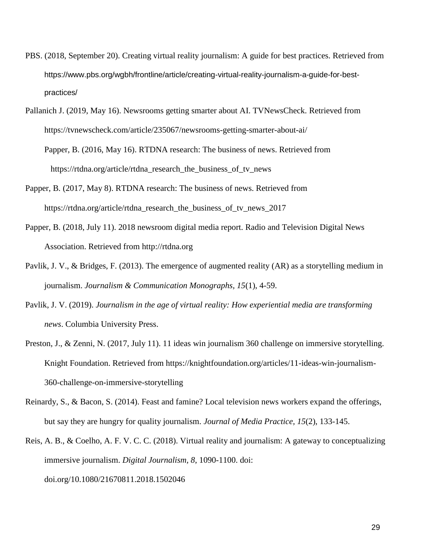PBS. (2018, September 20). Creating virtual reality journalism: A guide for best practices. Retrieved from https://www.pbs.org/wgbh/frontline/article/creating-virtual-reality-journalism-a-guide-for-bestpractices/

Pallanich J. (2019, May 16). Newsrooms getting smarter about AI. TVNewsCheck. Retrieved from https://tvnewscheck.com/article/235067/newsrooms-getting-smarter-about-ai/ Papper, B. (2016, May 16). RTDNA research: The business of news. Retrieved from https://rtdna.org/article/rtdna\_research\_the\_business\_of\_tv\_news

- Papper, B. (2017, May 8). RTDNA research: The business of news. Retrieved from https://rtdna.org/article/rtdna\_research\_the\_business\_of\_tv\_news\_2017
- Papper, B. (2018, July 11). 2018 newsroom digital media report. Radio and Television Digital News Association. Retrieved from http://rtdna.org
- Pavlik, J. V., & Bridges, F. (2013). The emergence of augmented reality (AR) as a storytelling medium in journalism. *Journalism & Communication Monographs, 15*(1), 4-59.
- Pavlik, J. V. (2019). *Journalism in the age of virtual reality: How experiential media are transforming news*. Columbia University Press.
- Preston, J., & Zenni, N. (2017, July 11). 11 ideas win journalism 360 challenge on immersive storytelling. Knight Foundation. Retrieved from https://knightfoundation.org/articles/11-ideas-win-journalism-360-challenge-on-immersive-storytelling
- Reinardy, S., & Bacon, S. (2014). Feast and famine? Local television news workers expand the offerings, but say they are hungry for quality journalism. *Journal of Media Practice, 15*(2), 133-145.

Reis, A. B., & Coelho, A. F. V. C. C. (2018). Virtual reality and journalism: A gateway to conceptualizing immersive journalism. *Digital Journalism, 8*, 1090-1100. doi: doi.org/10.1080/21670811.2018.1502046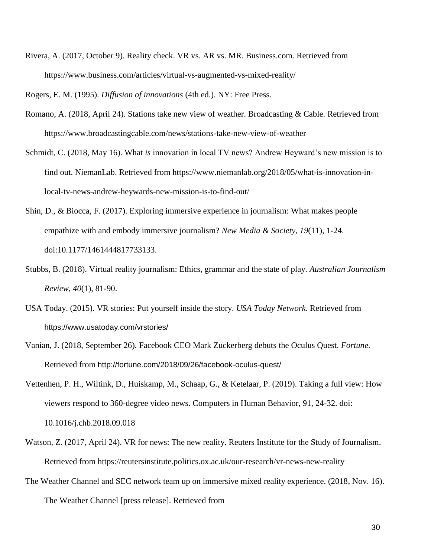Rivera, A. (2017, October 9). Reality check. VR vs. AR vs. MR. Business.com. Retrieved from https://www.business.com/articles/virtual-vs-augmented-vs-mixed-reality/

Rogers, E. M. (1995). *Diffusion of innovations* (4th ed.). NY: Free Press.

- Romano, A. (2018, April 24). Stations take new view of weather. Broadcasting & Cable. Retrieved from https://www.broadcastingcable.com/news/stations-take-new-view-of-weather
- Schmidt, C. (2018, May 16). What *is* innovation in local TV news? Andrew Heyward's new mission is to find out. NiemanLab. Retrieved from https://www.niemanlab.org/2018/05/what-is-innovation-inlocal-tv-news-andrew-heywards-new-mission-is-to-find-out/
- Shin, D., & Biocca, F. (2017). Exploring immersive experience in journalism: What makes people empathize with and embody immersive journalism? *New Media & Society*, *19*(11), 1-24. doi:10.1177/1461444817733133.
- Stubbs, B. (2018). Virtual reality journalism: Ethics, grammar and the state of play. *Australian Journalism Review*, *40*(1), 81-90.
- USA Today. (2015). VR stories: Put yourself inside the story. *USA Today Network*. Retrieved from https://www.usatoday.com/vrstories/
- Vanian, J. (2018, September 26). Facebook CEO Mark Zuckerberg debuts the Oculus Quest. *Fortune.* Retrieved from http://fortune.com/2018/09/26/facebook-oculus-quest/
- Vettenhen, P. H., Wiltink, D., Huiskamp, M., Schaap, G., & Ketelaar, P. (2019). Taking a full view: How viewers respond to 360-degree video news. Computers in Human Behavior, 91, 24-32. doi: 10.1016/j.chb.2018.09.018
- Watson, Z. (2017, April 24). VR for news: The new reality. Reuters Institute for the Study of Journalism. Retrieved from https://reutersinstitute.politics.ox.ac.uk/our-research/vr-news-new-reality
- The Weather Channel and SEC network team up on immersive mixed reality experience. (2018, Nov. 16). The Weather Channel [press release]. Retrieved from